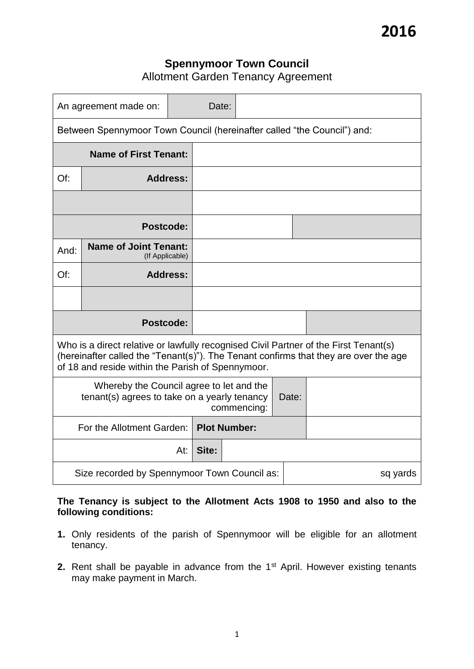# **Spennymoor Town Council** Allotment Garden Tenancy Agreement

| An agreement made on:                                                                                                                                                                                                             |                                                 | Date: |       |                     |       |          |
|-----------------------------------------------------------------------------------------------------------------------------------------------------------------------------------------------------------------------------------|-------------------------------------------------|-------|-------|---------------------|-------|----------|
| Between Spennymoor Town Council (hereinafter called "the Council") and:                                                                                                                                                           |                                                 |       |       |                     |       |          |
| <b>Name of First Tenant:</b>                                                                                                                                                                                                      |                                                 |       |       |                     |       |          |
| Of:                                                                                                                                                                                                                               | <b>Address:</b>                                 |       |       |                     |       |          |
|                                                                                                                                                                                                                                   |                                                 |       |       |                     |       |          |
|                                                                                                                                                                                                                                   | Postcode:                                       |       |       |                     |       |          |
| And:                                                                                                                                                                                                                              | <b>Name of Joint Tenant:</b><br>(If Applicable) |       |       |                     |       |          |
| Of:                                                                                                                                                                                                                               | <b>Address:</b>                                 |       |       |                     |       |          |
|                                                                                                                                                                                                                                   |                                                 |       |       |                     |       |          |
| Postcode:                                                                                                                                                                                                                         |                                                 |       |       |                     |       |          |
| Who is a direct relative or lawfully recognised Civil Partner of the First Tenant(s)<br>(hereinafter called the "Tenant(s)"). The Tenant confirms that they are over the age<br>of 18 and reside within the Parish of Spennymoor. |                                                 |       |       |                     |       |          |
| Whereby the Council agree to let and the<br>tenant(s) agrees to take on a yearly tenancy                                                                                                                                          |                                                 |       |       | commencing:         | Date: |          |
| For the Allotment Garden:                                                                                                                                                                                                         |                                                 |       |       | <b>Plot Number:</b> |       |          |
| At:                                                                                                                                                                                                                               |                                                 |       | Site: |                     |       |          |
| Size recorded by Spennymoor Town Council as:                                                                                                                                                                                      |                                                 |       |       |                     |       | sq yards |

### **The Tenancy is subject to the Allotment Acts 1908 to 1950 and also to the following conditions:**

- **1.** Only residents of the parish of Spennymoor will be eligible for an allotment tenancy.
- **2.** Rent shall be payable in advance from the 1<sup>st</sup> April. However existing tenants may make payment in March.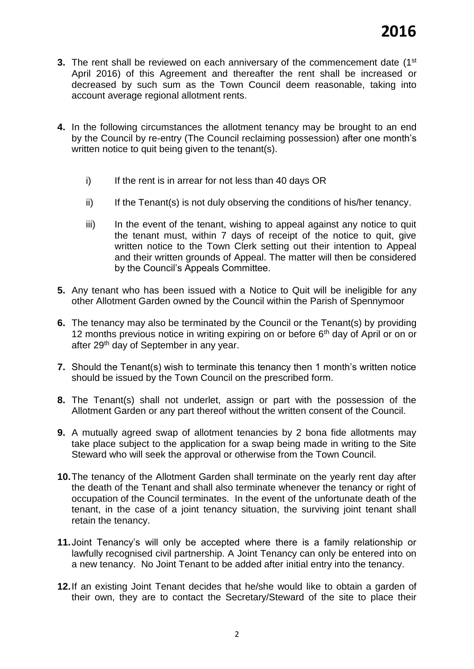- **3.** The rent shall be reviewed on each anniversary of the commencement date (1<sup>st</sup>) April 2016) of this Agreement and thereafter the rent shall be increased or decreased by such sum as the Town Council deem reasonable, taking into account average regional allotment rents.
- **4.** In the following circumstances the allotment tenancy may be brought to an end by the Council by re-entry (The Council reclaiming possession) after one month's written notice to quit being given to the tenant(s).
	- $i)$  If the rent is in arrear for not less than 40 days OR
	- ii) If the Tenant(s) is not duly observing the conditions of his/her tenancy.
	- iii) In the event of the tenant, wishing to appeal against any notice to quit the tenant must, within 7 days of receipt of the notice to quit, give written notice to the Town Clerk setting out their intention to Appeal and their written grounds of Appeal. The matter will then be considered by the Council's Appeals Committee.
- **5.** Any tenant who has been issued with a Notice to Quit will be ineligible for any other Allotment Garden owned by the Council within the Parish of Spennymoor
- **6.** The tenancy may also be terminated by the Council or the Tenant(s) by providing 12 months previous notice in writing expiring on or before  $6<sup>th</sup>$  day of April or on or after 29<sup>th</sup> day of September in any year.
- **7.** Should the Tenant(s) wish to terminate this tenancy then 1 month's written notice should be issued by the Town Council on the prescribed form.
- **8.** The Tenant(s) shall not underlet, assign or part with the possession of the Allotment Garden or any part thereof without the written consent of the Council.
- **9.** A mutually agreed swap of allotment tenancies by 2 bona fide allotments may take place subject to the application for a swap being made in writing to the Site Steward who will seek the approval or otherwise from the Town Council.
- **10.**The tenancy of the Allotment Garden shall terminate on the yearly rent day after the death of the Tenant and shall also terminate whenever the tenancy or right of occupation of the Council terminates. In the event of the unfortunate death of the tenant, in the case of a joint tenancy situation, the surviving joint tenant shall retain the tenancy.
- **11.**Joint Tenancy's will only be accepted where there is a family relationship or lawfully recognised civil partnership. A Joint Tenancy can only be entered into on a new tenancy. No Joint Tenant to be added after initial entry into the tenancy.
- **12.**If an existing Joint Tenant decides that he/she would like to obtain a garden of their own, they are to contact the Secretary/Steward of the site to place their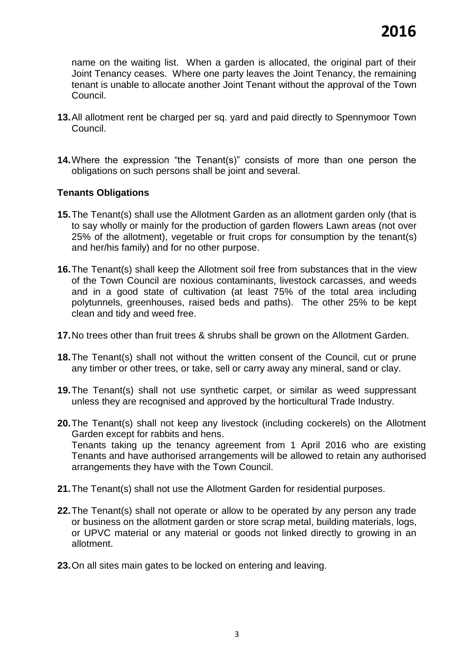name on the waiting list. When a garden is allocated, the original part of their Joint Tenancy ceases. Where one party leaves the Joint Tenancy, the remaining tenant is unable to allocate another Joint Tenant without the approval of the Town Council.

- **13.**All allotment rent be charged per sq. yard and paid directly to Spennymoor Town Council.
- **14.**Where the expression "the Tenant(s)" consists of more than one person the obligations on such persons shall be joint and several.

#### **Tenants Obligations**

- **15.**The Tenant(s) shall use the Allotment Garden as an allotment garden only (that is to say wholly or mainly for the production of garden flowers Lawn areas (not over 25% of the allotment), vegetable or fruit crops for consumption by the tenant(s) and her/his family) and for no other purpose.
- **16.**The Tenant(s) shall keep the Allotment soil free from substances that in the view of the Town Council are noxious contaminants, livestock carcasses, and weeds and in a good state of cultivation (at least 75% of the total area including polytunnels, greenhouses, raised beds and paths). The other 25% to be kept clean and tidy and weed free.
- **17.**No trees other than fruit trees & shrubs shall be grown on the Allotment Garden.
- **18.**The Tenant(s) shall not without the written consent of the Council, cut or prune any timber or other trees, or take, sell or carry away any mineral, sand or clay.
- **19.**The Tenant(s) shall not use synthetic carpet, or similar as weed suppressant unless they are recognised and approved by the horticultural Trade Industry.
- **20.**The Tenant(s) shall not keep any livestock (including cockerels) on the Allotment Garden except for rabbits and hens. Tenants taking up the tenancy agreement from 1 April 2016 who are existing Tenants and have authorised arrangements will be allowed to retain any authorised arrangements they have with the Town Council.
- **21.**The Tenant(s) shall not use the Allotment Garden for residential purposes.
- **22.**The Tenant(s) shall not operate or allow to be operated by any person any trade or business on the allotment garden or store scrap metal, building materials, logs, or UPVC material or any material or goods not linked directly to growing in an allotment.
- **23.**On all sites main gates to be locked on entering and leaving.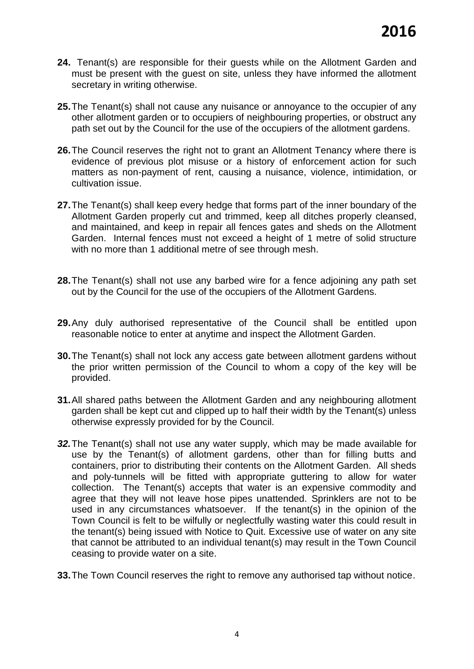- **24.** Tenant(s) are responsible for their guests while on the Allotment Garden and must be present with the guest on site, unless they have informed the allotment secretary in writing otherwise.
- **25.**The Tenant(s) shall not cause any nuisance or annoyance to the occupier of any other allotment garden or to occupiers of neighbouring properties, or obstruct any path set out by the Council for the use of the occupiers of the allotment gardens.
- **26.**The Council reserves the right not to grant an Allotment Tenancy where there is evidence of previous plot misuse or a history of enforcement action for such matters as non-payment of rent, causing a nuisance, violence, intimidation, or cultivation issue.
- **27.**The Tenant(s) shall keep every hedge that forms part of the inner boundary of the Allotment Garden properly cut and trimmed, keep all ditches properly cleansed, and maintained, and keep in repair all fences gates and sheds on the Allotment Garden. Internal fences must not exceed a height of 1 metre of solid structure with no more than 1 additional metre of see through mesh.
- **28.**The Tenant(s) shall not use any barbed wire for a fence adjoining any path set out by the Council for the use of the occupiers of the Allotment Gardens.
- **29.**Any duly authorised representative of the Council shall be entitled upon reasonable notice to enter at anytime and inspect the Allotment Garden.
- **30.**The Tenant(s) shall not lock any access gate between allotment gardens without the prior written permission of the Council to whom a copy of the key will be provided.
- **31.**All shared paths between the Allotment Garden and any neighbouring allotment garden shall be kept cut and clipped up to half their width by the Tenant(s) unless otherwise expressly provided for by the Council.
- *32.*The Tenant(s) shall not use any water supply, which may be made available for use by the Tenant(s) of allotment gardens, other than for filling butts and containers, prior to distributing their contents on the Allotment Garden. All sheds and poly-tunnels will be fitted with appropriate guttering to allow for water collection. The Tenant(s) accepts that water is an expensive commodity and agree that they will not leave hose pipes unattended. Sprinklers are not to be used in any circumstances whatsoever. If the tenant(s) in the opinion of the Town Council is felt to be wilfully or neglectfully wasting water this could result in the tenant(s) being issued with Notice to Quit. Excessive use of water on any site that cannot be attributed to an individual tenant(s) may result in the Town Council ceasing to provide water on a site.
- **33.**The Town Council reserves the right to remove any authorised tap without notice.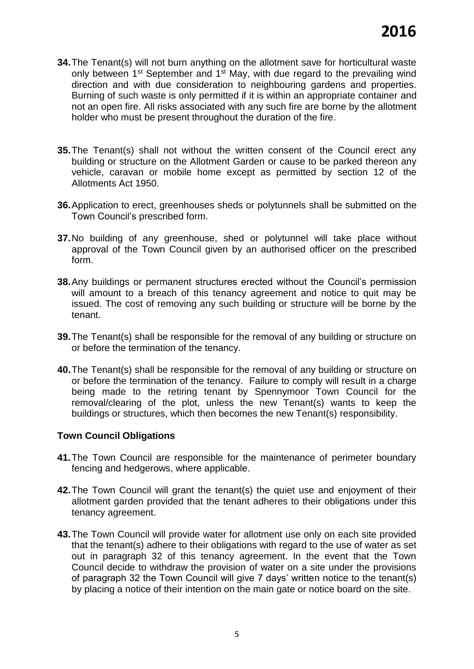- **34.**The Tenant(s) will not burn anything on the allotment save for horticultural waste only between 1<sup>st</sup> September and 1<sup>st</sup> May, with due regard to the prevailing wind direction and with due consideration to neighbouring gardens and properties. Burning of such waste is only permitted if it is within an appropriate container and not an open fire. All risks associated with any such fire are borne by the allotment holder who must be present throughout the duration of the fire.
- **35.**The Tenant(s) shall not without the written consent of the Council erect any building or structure on the Allotment Garden or cause to be parked thereon any vehicle, caravan or mobile home except as permitted by section 12 of the Allotments Act 1950.
- **36.**Application to erect, greenhouses sheds or polytunnels shall be submitted on the Town Council's prescribed form.
- **37.**No building of any greenhouse, shed or polytunnel will take place without approval of the Town Council given by an authorised officer on the prescribed form.
- **38.**Any buildings or permanent structures erected without the Council's permission will amount to a breach of this tenancy agreement and notice to quit may be issued. The cost of removing any such building or structure will be borne by the tenant.
- **39.**The Tenant(s) shall be responsible for the removal of any building or structure on or before the termination of the tenancy.
- **40.**The Tenant(s) shall be responsible for the removal of any building or structure on or before the termination of the tenancy. Failure to comply will result in a charge being made to the retiring tenant by Spennymoor Town Council for the removal/clearing of the plot, unless the new Tenant(s) wants to keep the buildings or structures, which then becomes the new Tenant(s) responsibility.

#### **Town Council Obligations**

- **41.**The Town Council are responsible for the maintenance of perimeter boundary fencing and hedgerows, where applicable.
- **42.**The Town Council will grant the tenant(s) the quiet use and enjoyment of their allotment garden provided that the tenant adheres to their obligations under this tenancy agreement.
- **43.**The Town Council will provide water for allotment use only on each site provided that the tenant(s) adhere to their obligations with regard to the use of water as set out in paragraph 32 of this tenancy agreement. In the event that the Town Council decide to withdraw the provision of water on a site under the provisions of paragraph 32 the Town Council will give 7 days' written notice to the tenant(s) by placing a notice of their intention on the main gate or notice board on the site.